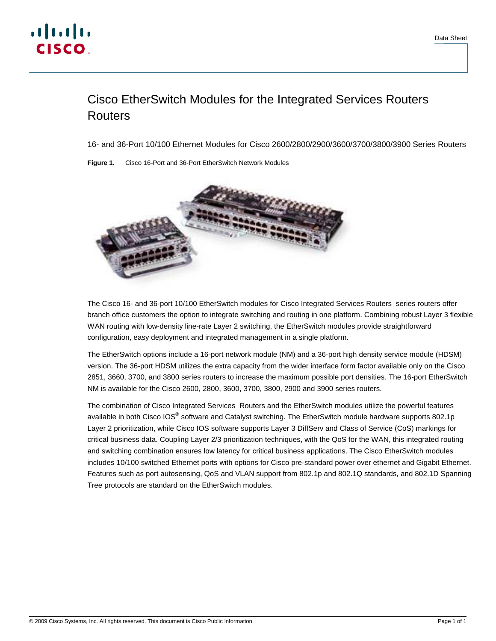# Cisco EtherSwitch Modules for the Integrated Services Routers **Routers**

16- and 36-Port 10/100 Ethernet Modules for Cisco 2600/2800/2900/3600/3700/3800/3900 Series Routers

**Figure 1.** Cisco 16-Port and 36-Port EtherSwitch Network Modules



The Cisco 16- and 36-port 10/100 EtherSwitch modules for Cisco Integrated Services Routers series routers offer branch office customers the option to integrate switching and routing in one platform. Combining robust Layer 3 flexible WAN routing with low-density line-rate Layer 2 switching, the EtherSwitch modules provide straightforward configuration, easy deployment and integrated management in a single platform.

The EtherSwitch options include a 16-port network module (NM) and a 36-port high density service module (HDSM) version. The 36-port HDSM utilizes the extra capacity from the wider interface form factor available only on the Cisco 2851, 3660, 3700, and 3800 series routers to increase the maximum possible port densities. The 16-port EtherSwitch NM is available for the Cisco 2600, 2800, 3600, 3700, 3800, 2900 and 3900 series routers.

The combination of Cisco Integrated Services Routers and the EtherSwitch modules utilize the powerful features available in both Cisco IOS® software and Catalyst switching. The EtherSwitch module hardware supports 802.1p Layer 2 prioritization, while Cisco IOS software supports Layer 3 DiffServ and Class of Service (CoS) markings for critical business data. Coupling Layer 2/3 prioritization techniques, with the QoS for the WAN, this integrated routing and switching combination ensures low latency for critical business applications. The Cisco EtherSwitch modules includes 10/100 switched Ethernet ports with options for Cisco pre-standard power over ethernet and Gigabit Ethernet. Features such as port autosensing, QoS and VLAN support from 802.1p and 802.1Q standards, and 802.1D Spanning Tree protocols are standard on the EtherSwitch modules.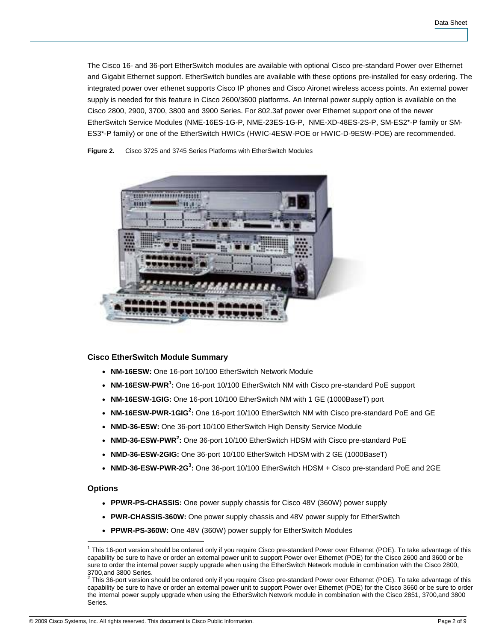The Cisco 16- and 36-port EtherSwitch modules are available with optional Cisco pre-standard Power over Ethernet and Gigabit Ethernet support. EtherSwitch bundles are available with these options pre-installed for easy ordering. The integrated power over ethenet supports Cisco IP phones and Cisco Aironet wireless access points. An external power supply is needed for this feature in Cisco 2600/3600 platforms. An Internal power supply option is available on the Cisco 2800, 2900, 3700, 3800 and 3900 Series. For 802.3af power over Ethernet support one of the newer EtherSwitch Service Modules (NME-16ES-1G-P, NME-23ES-1G-P, NME-XD-48ES-2S-P, SM-ES2\*-P family or SM-ES3\*-P family) or one of the EtherSwitch HWICs (HWIC-4ESW-POE or HWIC-D-9ESW-POE) are recommended.



**Figure 2.** Cisco 3725 and 3745 Series Platforms with EtherSwitch Modules

# **Cisco EtherSwitch Module Summary**

- **NM-16ESW:** One 16-port 10/100 EtherSwitch Network Module
- NM-16ESW-PWR<sup>1</sup>: One 16-port 10/100 EtherSwitch NM with Cisco pre-standard PoE support
- **NM-16ESW-1GIG:** One 16-port 10/100 EtherSwitch NM with 1 GE (1000BaseT) port
- NM-16ESW-PWR-1GIG<sup>2</sup>: One 16-port 10/100 EtherSwitch NM with Cisco pre-standard PoE and GE
- **NMD-36-ESW:** One 36-port 10/100 EtherSwitch High Density Service Module
- **NMD-36-ESW-PWR<sup>2</sup>:** One 36-port 10/100 EtherSwitch HDSM with Cisco pre-standard PoE
- NMD-36-ESW-2GIG: One 36-port 10/100 EtherSwitch HDSM with 2 GE (1000BaseT)
- NMD-36-ESW-PWR-2G<sup>3</sup>: One 36-port 10/100 EtherSwitch HDSM + Cisco pre-standard PoE and 2GE

#### **Options**

- **PPWR-PS-CHASSIS:** One power supply chassis for Cisco 48V (360W) power supply
- **PWR-CHASSIS-360W:** One power supply chassis and 48V power supply for EtherSwitch
- **PPWR-PS-360W:** One 48V (360W) power supply for EtherSwitch Modules

 $\overline{\phantom{a}}$ <sup>1</sup> This 16-port version should be ordered only if you require Cisco pre-standard Power over Ethernet (POE). To take advantage of this capability be sure to have or order an external power unit to support Power over Ethernet (POE) for the Cisco 2600 and 3600 or be sure to order the internal power supply upgrade when using the EtherSwitch Network module in combination with the Cisco 2800,

<sup>3700,</sup>and 3800 Series.<br><sup>2</sup> This 36-port version should be ordered only if you require Cisco pre-standard Power over Ethernet (POE). To take advantage of this capability be sure to have or order an external power unit to support Power over Ethernet (POE) for the Cisco 3660 or be sure to order the internal power supply upgrade when using the EtherSwitch Network module in combination with the Cisco 2851, 3700,and 3800 Series.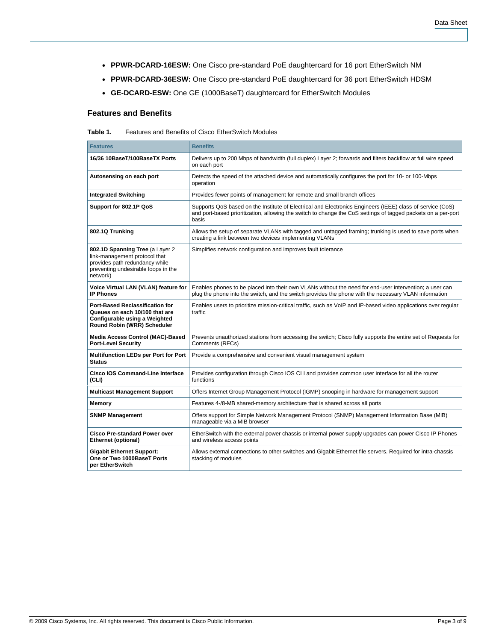- **PPWR-DCARD-16ESW:** One Cisco pre-standard PoE daughtercard for 16 port EtherSwitch NM
- **PPWR-DCARD-36ESW:** One Cisco pre-standard PoE daughtercard for 36 port EtherSwitch HDSM
- **GE-DCARD-ESW:** One GE (1000BaseT) daughtercard for EtherSwitch Modules

# **Features and Benefits**

| Table 1. | Features and Benefits of Cisco EtherSwitch Modules |
|----------|----------------------------------------------------|
|          |                                                    |

| <b>Features</b>                                                                                                                                       | <b>Benefits</b>                                                                                                                                                                                                                     |  |
|-------------------------------------------------------------------------------------------------------------------------------------------------------|-------------------------------------------------------------------------------------------------------------------------------------------------------------------------------------------------------------------------------------|--|
| 16/36 10BaseT/100BaseTX Ports                                                                                                                         | Delivers up to 200 Mbps of bandwidth (full duplex) Layer 2; forwards and filters backflow at full wire speed<br>on each port                                                                                                        |  |
| Autosensing on each port                                                                                                                              | Detects the speed of the attached device and automatically configures the port for 10- or 100-Mbps<br>operation                                                                                                                     |  |
| <b>Integrated Switching</b>                                                                                                                           | Provides fewer points of management for remote and small branch offices                                                                                                                                                             |  |
| Support for 802.1P QoS                                                                                                                                | Supports QoS based on the Institute of Electrical and Electronics Engineers (IEEE) class-of-service (CoS)<br>and port-based prioritization, allowing the switch to change the CoS settings of tagged packets on a per-port<br>basis |  |
| 802.1Q Trunking                                                                                                                                       | Allows the setup of separate VLANs with tagged and untagged framing; trunking is used to save ports when<br>creating a link between two devices implementing VLANs                                                                  |  |
| 802.1D Spanning Tree (a Layer 2<br>link-management protocol that<br>provides path redundancy while<br>preventing undesirable loops in the<br>network) | Simplifies network configuration and improves fault tolerance                                                                                                                                                                       |  |
| Voice Virtual LAN (VLAN) feature for<br><b>IP Phones</b>                                                                                              | Enables phones to be placed into their own VLANs without the need for end-user intervention; a user can<br>plug the phone into the switch, and the switch provides the phone with the necessary VLAN information                    |  |
| <b>Port-Based Reclassification for</b><br>Queues on each 10/100 that are<br>Configurable using a Weighted<br>Round Robin (WRR) Scheduler              | Enables users to prioritize mission-critical traffic, such as VoIP and IP-based video applications over regular<br>traffic                                                                                                          |  |
| Media Access Control (MAC)-Based<br><b>Port-Level Security</b>                                                                                        | Prevents unauthorized stations from accessing the switch; Cisco fully supports the entire set of Requests for<br>Comments (RFCs)                                                                                                    |  |
| <b>Multifunction LEDs per Port for Port</b><br><b>Status</b>                                                                                          | Provide a comprehensive and convenient visual management system                                                                                                                                                                     |  |
| <b>Cisco IOS Command-Line Interface</b><br>(CLI)                                                                                                      | Provides configuration through Cisco IOS CLI and provides common user interface for all the router<br>functions                                                                                                                     |  |
| <b>Multicast Management Support</b>                                                                                                                   | Offers Internet Group Management Protocol (IGMP) snooping in hardware for management support                                                                                                                                        |  |
| Memory                                                                                                                                                | Features 4-/8-MB shared-memory architecture that is shared across all ports                                                                                                                                                         |  |
| <b>SNMP Management</b>                                                                                                                                | Offers support for Simple Network Management Protocol (SNMP) Management Information Base (MIB)<br>manageable via a MIB browser                                                                                                      |  |
| <b>Cisco Pre-standard Power over</b><br>Ethernet (optional)                                                                                           | EtherSwitch with the external power chassis or internal power supply upgrades can power Cisco IP Phones<br>and wireless access points                                                                                               |  |
| <b>Gigabit Ethernet Support:</b><br>One or Two 1000BaseT Ports<br>per EtherSwitch                                                                     | Allows external connections to other switches and Gigabit Ethernet file servers. Required for intra-chassis<br>stacking of modules                                                                                                  |  |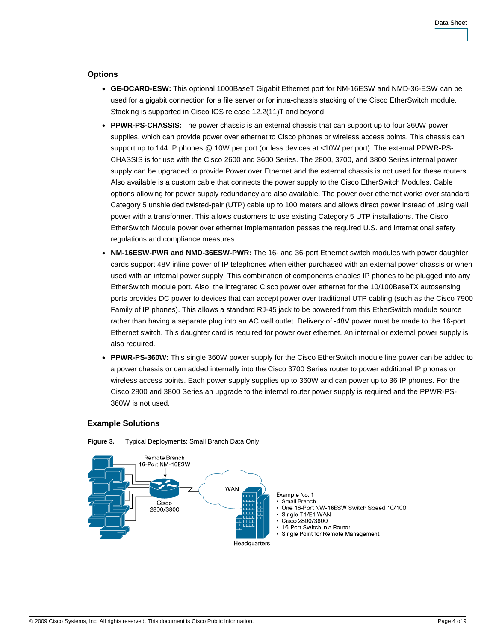# **Options**

- **GE-DCARD-ESW:** This optional 1000BaseT Gigabit Ethernet port for NM-16ESW and NMD-36-ESW can be used for a gigabit connection for a file server or for intra-chassis stacking of the Cisco EtherSwitch module. Stacking is supported in Cisco IOS release 12.2(11)T and beyond.
- **PPWR-PS-CHASSIS:** The power chassis is an external chassis that can support up to four 360W power supplies, which can provide power over ethernet to Cisco phones or wireless access points. This chassis can support up to 144 IP phones @ 10W per port (or less devices at <10W per port). The external PPWR-PS-CHASSIS is for use with the Cisco 2600 and 3600 Series. The 2800, 3700, and 3800 Series internal power supply can be upgraded to provide Power over Ethernet and the external chassis is not used for these routers. Also available is a custom cable that connects the power supply to the Cisco EtherSwitch Modules. Cable options allowing for power supply redundancy are also available. The power over ethernet works over standard Category 5 unshielded twisted-pair (UTP) cable up to 100 meters and allows direct power instead of using wall power with a transformer. This allows customers to use existing Category 5 UTP installations. The Cisco EtherSwitch Module power over ethernet implementation passes the required U.S. and international safety regulations and compliance measures.
- **NM-16ESW-PWR and NMD-36ESW-PWR:** The 16- and 36-port Ethernet switch modules with power daughter cards support 48V inline power of IP telephones when either purchased with an external power chassis or when used with an internal power supply. This combination of components enables IP phones to be plugged into any EtherSwitch module port. Also, the integrated Cisco power over ethernet for the 10/100BaseTX autosensing ports provides DC power to devices that can accept power over traditional UTP cabling (such as the Cisco 7900 Family of IP phones). This allows a standard RJ-45 jack to be powered from this EtherSwitch module source rather than having a separate plug into an AC wall outlet. Delivery of -48V power must be made to the 16-port Ethernet switch. This daughter card is required for power over ethernet. An internal or external power supply is also required.
- **PPWR-PS-360W:** This single 360W power supply for the Cisco EtherSwitch module line power can be added to a power chassis or can added internally into the Cisco 3700 Series router to power additional IP phones or wireless access points. Each power supply supplies up to 360W and can power up to 36 IP phones. For the Cisco 2800 and 3800 Series an upgrade to the internal router power supply is required and the PPWR-PS-360W is not used.

# **Example Solutions**



**Figure 3.** Typical Deployments: Small Branch Data Only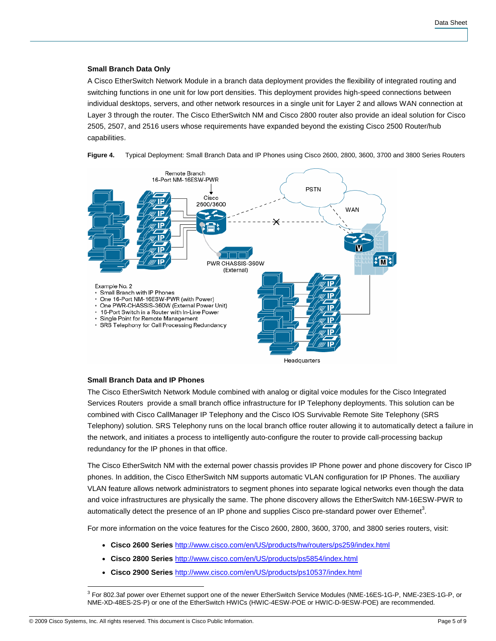# **Small Branch Data Only**

A Cisco EtherSwitch Network Module in a branch data deployment provides the flexibility of integrated routing and switching functions in one unit for low port densities. This deployment provides high-speed connections between individual desktops, servers, and other network resources in a single unit for Layer 2 and allows WAN connection at Layer 3 through the router. The Cisco EtherSwitch NM and Cisco 2800 router also provide an ideal solution for Cisco 2505, 2507, and 2516 users whose requirements have expanded beyond the existing Cisco 2500 Router/hub capabilities.



**Figure 4.** Typical Deployment: Small Branch Data and IP Phones using Cisco 2600, 2800, 3600, 3700 and 3800 Series Routers

## **Small Branch Data and IP Phones**

The Cisco EtherSwitch Network Module combined with analog or digital voice modules for the Cisco Integrated Services Routers provide a small branch office infrastructure for IP Telephony deployments. This solution can be combined with Cisco CallManager IP Telephony and the Cisco IOS Survivable Remote Site Telephony (SRS Telephony) solution. SRS Telephony runs on the local branch office router allowing it to automatically detect a failure in the network, and initiates a process to intelligently auto-configure the router to provide call-processing backup redundancy for the IP phones in that office.

The Cisco EtherSwitch NM with the external power chassis provides IP Phone power and phone discovery for Cisco IP phones. In addition, the Cisco EtherSwitch NM supports automatic VLAN configuration for IP Phones. The auxiliary VLAN feature allows network administrators to segment phones into separate logical networks even though the data and voice infrastructures are physically the same. The phone discovery allows the EtherSwitch NM-16ESW-PWR to automatically detect the presence of an IP phone and supplies Cisco pre-standard power over Ethernet<sup>3</sup>.

For more information on the voice features for the Cisco 2600, 2800, 3600, 3700, and 3800 series routers, visit:

- **Cisco 2600 Series** <http://www.cisco.com/en/US/products/hw/routers/ps259/index.html>
- **Cisco 2800 Series** <http://www.cisco.com/en/US/products/ps5854/index.html>
- **Cisco 2900 Series** <http://www.cisco.com/en/US/products/ps10537/index.html>

 $\overline{\phantom{a}}$ <sup>3</sup> For 802.3af power over Ethernet support one of the newer EtherSwitch Service Modules (NME-16ES-1G-P, NME-23ES-1G-P, or NME-XD-48ES-2S-P) or one of the EtherSwitch HWICs (HWIC-4ESW-POE or HWIC-D-9ESW-POE) are recommended.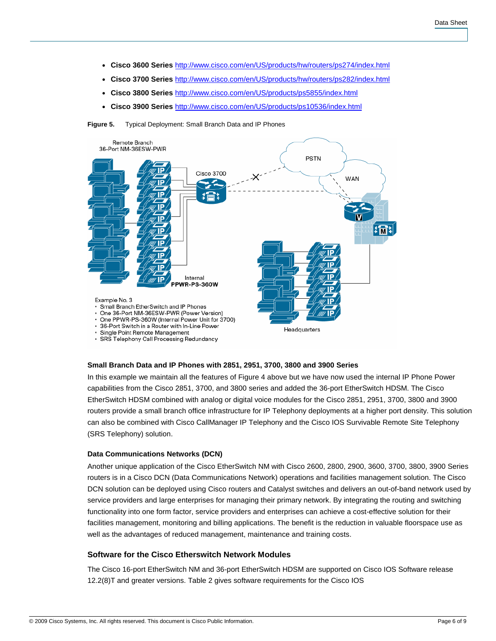- **Cisco 3600 Series** <http://www.cisco.com/en/US/products/hw/routers/ps274/index.html>
- **Cisco 3700 Series** <http://www.cisco.com/en/US/products/hw/routers/ps282/index.html>
- **Cisco 3800 Series** <http://www.cisco.com/en/US/products/ps5855/index.html>
- **Cisco 3900 Series** <http://www.cisco.com/en/US/products/ps10536/index.html>

**Figure 5.** Typical Deployment: Small Branch Data and IP Phones



#### **Small Branch Data and IP Phones with 2851, 2951, 3700, 3800 and 3900 Series**

In this example we maintain all the features of Figure 4 above but we have now used the internal IP Phone Power capabilities from the Cisco 2851, 3700, and 3800 series and added the 36-port EtherSwitch HDSM. The Cisco EtherSwitch HDSM combined with analog or digital voice modules for the Cisco 2851, 2951, 3700, 3800 and 3900 routers provide a small branch office infrastructure for IP Telephony deployments at a higher port density. This solution can also be combined with Cisco CallManager IP Telephony and the Cisco IOS Survivable Remote Site Telephony (SRS Telephony) solution.

## **Data Communications Networks (DCN)**

Another unique application of the Cisco EtherSwitch NM with Cisco 2600, 2800, 2900, 3600, 3700, 3800, 3900 Series routers is in a Cisco DCN (Data Communications Network) operations and facilities management solution. The Cisco DCN solution can be deployed using Cisco routers and Catalyst switches and delivers an out-of-band network used by service providers and large enterprises for managing their primary network. By integrating the routing and switching functionality into one form factor, service providers and enterprises can achieve a cost-effective solution for their facilities management, monitoring and billing applications. The benefit is the reduction in valuable floorspace use as well as the advantages of reduced management, maintenance and training costs.

## **Software for the Cisco Etherswitch Network Modules**

The Cisco 16-port EtherSwitch NM and 36-port EtherSwitch HDSM are supported on Cisco IOS Software release 12.2(8)T and greater versions. Table 2 gives software requirements for the Cisco IOS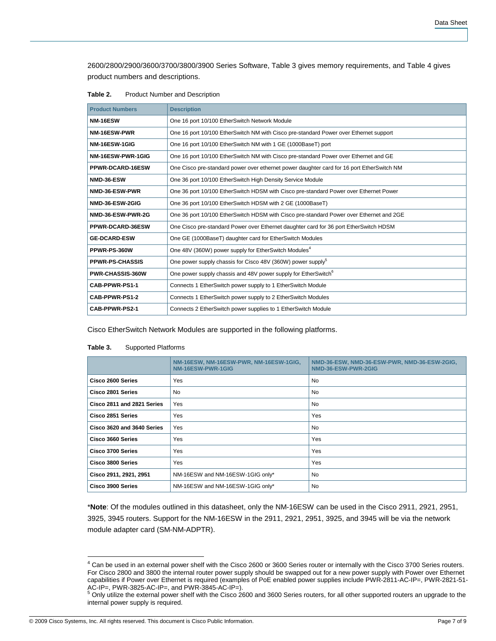2600/2800/2900/3600/3700/3800/3900 Series Software, Table 3 gives memory requirements, and Table 4 gives product numbers and descriptions.

| Table 2. |  |  |  | <b>Product Number and Description</b> |
|----------|--|--|--|---------------------------------------|
|----------|--|--|--|---------------------------------------|

| <b>Product Numbers</b>  | <b>Description</b>                                                                        |
|-------------------------|-------------------------------------------------------------------------------------------|
| NM-16ESW                | One 16 port 10/100 EtherSwitch Network Module                                             |
| NM-16ESW-PWR            | One 16 port 10/100 EtherSwitch NM with Cisco pre-standard Power over Ethernet support     |
| NM-16ESW-1GIG           | One 16 port 10/100 EtherSwitch NM with 1 GE (1000BaseT) port                              |
| NM-16ESW-PWR-1GIG       | One 16 port 10/100 EtherSwitch NM with Cisco pre-standard Power over Ethernet and GE      |
| PPWR-DCARD-16ESW        | One Cisco pre-standard power over ethernet power daughter card for 16 port EtherSwitch NM |
| NMD-36-ESW              | One 36 port 10/100 EtherSwitch High Density Service Module                                |
| NMD-36-ESW-PWR          | One 36 port 10/100 EtherSwitch HDSM with Cisco pre-standard Power over Ethernet Power     |
| NMD-36-ESW-2GIG         | One 36 port 10/100 EtherSwitch HDSM with 2 GE (1000BaseT)                                 |
| NMD-36-ESW-PWR-2G       | One 36 port 10/100 EtherSwitch HDSM with Cisco pre-standard Power over Ethernet and 2GE   |
| PPWR-DCARD-36ESW        | One Cisco pre-standard Power over Ethernet daughter card for 36 port EtherSwitch HDSM     |
| <b>GE-DCARD-ESW</b>     | One GE (1000BaseT) daughter card for EtherSwitch Modules                                  |
| PPWR-PS-360W            | One 48V (360W) power supply for EtherSwitch Modules <sup>4</sup>                          |
| <b>PPWR-PS-CHASSIS</b>  | One power supply chassis for Cisco 48V (360W) power supply <sup>5</sup>                   |
| <b>PWR-CHASSIS-360W</b> | One power supply chassis and 48V power supply for EtherSwitch <sup>6</sup>                |
| CAB-PPWR-PS1-1          | Connects 1 EtherSwitch power supply to 1 EtherSwitch Module                               |
| CAB-PPWR-PS1-2          | Connects 1 EtherSwitch power supply to 2 EtherSwitch Modules                              |
| CAB-PPWR-PS2-1          | Connects 2 EtherSwitch power supplies to 1 EtherSwitch Module                             |

Cisco EtherSwitch Network Modules are supported in the following platforms.

#### **Table 3.** Supported Platforms

|                            | NM-16ESW, NM-16ESW-PWR, NM-16ESW-1GIG,<br>NM-16ESW-PWR-1GIG | NMD-36-ESW, NMD-36-ESW-PWR, NMD-36-ESW-2GIG,<br>NMD-36-ESW-PWR-2GIG |
|----------------------------|-------------------------------------------------------------|---------------------------------------------------------------------|
| Cisco 2600 Series          | Yes                                                         | No                                                                  |
| Cisco 2801 Series          | <b>No</b>                                                   | <b>No</b>                                                           |
| Cisco 2811 and 2821 Series | <b>Yes</b>                                                  | <b>No</b>                                                           |
| Cisco 2851 Series          | Yes                                                         | Yes                                                                 |
| Cisco 3620 and 3640 Series | Yes                                                         | <b>No</b>                                                           |
| Cisco 3660 Series          | Yes                                                         | Yes                                                                 |
| Cisco 3700 Series          | Yes                                                         | Yes                                                                 |
| Cisco 3800 Series          | Yes                                                         | Yes                                                                 |
| Cisco 2911, 2921, 2951     | NM-16ESW and NM-16ESW-1GIG only*                            | <b>No</b>                                                           |
| Cisco 3900 Series          | NM-16ESW and NM-16ESW-1GIG only*                            | <b>No</b>                                                           |

\***Note**: Of the modules outlined in this datasheet, only the NM-16ESW can be used in the Cisco 2911, 2921, 2951, 3925, 3945 routers. Support for the NM-16ESW in the 2911, 2921, 2951, 3925, and 3945 will be via the network module adapter card (SM-NM-ADPTR).

© 2009 Cisco Systems, Inc. All rights reserved. This document is Cisco Public Information. Page 7 of 9

 4 Can be used in an external power shelf with the Cisco 2600 or 3600 Series router or internally with the Cisco 3700 Series routers. For Cisco 2800 and 3800 the internal router power supply should be swapped out for a new power supply with Power over Ethernet capabilities if Power over Ethernet is required (examples of PoE enabled power supplies include PWR-2811-AC-IP=, PWR-2821-51-

AC-IP=, PWR-3825-AC-IP=, and PWR-3845-AC-IP=).<br><sup>5</sup> Only utilize the external power shelf with the Cisco 2600 and 3600 Series routers, for all other supported routers an upgrade to the internal power supply is required.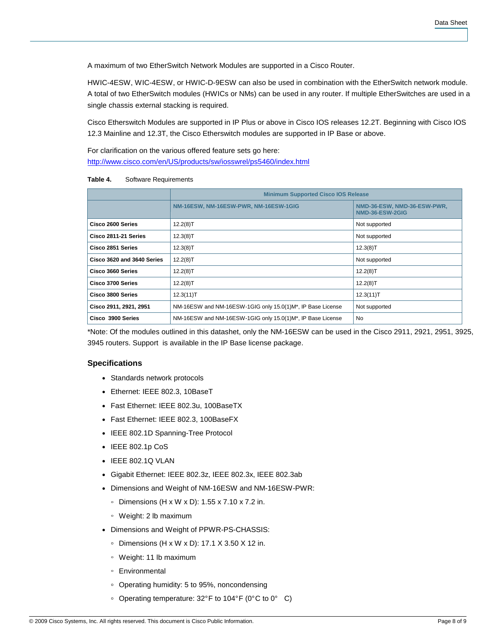A maximum of two EtherSwitch Network Modules are supported in a Cisco Router.

HWIC-4ESW, WIC-4ESW, or HWIC-D-9ESW can also be used in combination with the EtherSwitch network module. A total of two EtherSwitch modules (HWICs or NMs) can be used in any router. If multiple EtherSwitches are used in a single chassis external stacking is required.

Cisco Etherswitch Modules are supported in IP Plus or above in Cisco IOS releases 12.2T. Beginning with Cisco IOS 12.3 Mainline and 12.3T, the Cisco Etherswitch modules are supported in IP Base or above.

For clarification on the various offered feature sets go here: <http://www.cisco.com/en/US/products/sw/iosswrel/ps5460/index.html>

| Table 4. | Software Requirements |
|----------|-----------------------|
|----------|-----------------------|

|                            | <b>Minimum Supported Cisco IOS Release</b>                 |                                                |  |
|----------------------------|------------------------------------------------------------|------------------------------------------------|--|
|                            | NM-16ESW, NM-16ESW-PWR, NM-16ESW-1GIG                      | NMD-36-ESW, NMD-36-ESW-PWR,<br>NMD-36-ESW-2GIG |  |
| Cisco 2600 Series          | 12.2(8)T                                                   | Not supported                                  |  |
| Cisco 2811-21 Series       | 12.3(8)T                                                   | Not supported                                  |  |
| Cisco 2851 Series          | 12.3(8)T                                                   | $12.3(8)$ T                                    |  |
| Cisco 3620 and 3640 Series | 12.2(8)T                                                   | Not supported                                  |  |
| Cisco 3660 Series          | 12.2(8)T                                                   | 12.2(8)T                                       |  |
| Cisco 3700 Series          | 12.2(8)T                                                   | 12.2(8)T                                       |  |
| Cisco 3800 Series          | 12.3(11)T                                                  | 12.3(11)T                                      |  |
| Cisco 2911, 2921, 2951     | NM-16ESW and NM-16ESW-1GIG only 15.0(1)M*, IP Base License | Not supported                                  |  |
| Cisco 3900 Series          | NM-16ESW and NM-16ESW-1GIG only 15.0(1)M*, IP Base License | No                                             |  |

\*Note: Of the modules outlined in this datashet, only the NM-16ESW can be used in the Cisco 2911, 2921, 2951, 3925, 3945 routers. Support is available in the IP Base license package.

## **Specifications**

- Standards network protocols
- Ethernet: IEEE 802.3, 10BaseT
- Fast Ethernet: IEEE 802.3u, 100BaseTX
- Fast Ethernet: IEEE 802.3, 100BaseFX
- IEEE 802.1D Spanning-Tree Protocol
- $\bullet$  IEEE 802.1p CoS
- IEEE 802.1Q VLAN
- Gigabit Ethernet: IEEE 802.3z, IEEE 802.3x, IEEE 802.3ab
- Dimensions and Weight of NM-16ESW and NM-16ESW-PWR:
	- Dimensions (H x W x D): 1.55 x 7.10 x 7.2 in.
	- Weight: 2 lb maximum
- Dimensions and Weight of PPWR-PS-CHASSIS:
	- Dimensions (H x W x D): 17.1 X 3.50 X 12 in.
	- Weight: 11 lb maximum
	- Environmental
	- Operating humidity: 5 to 95%, noncondensing
	- Operating temperature: 32° F to 104° F (0° C to 0° C)